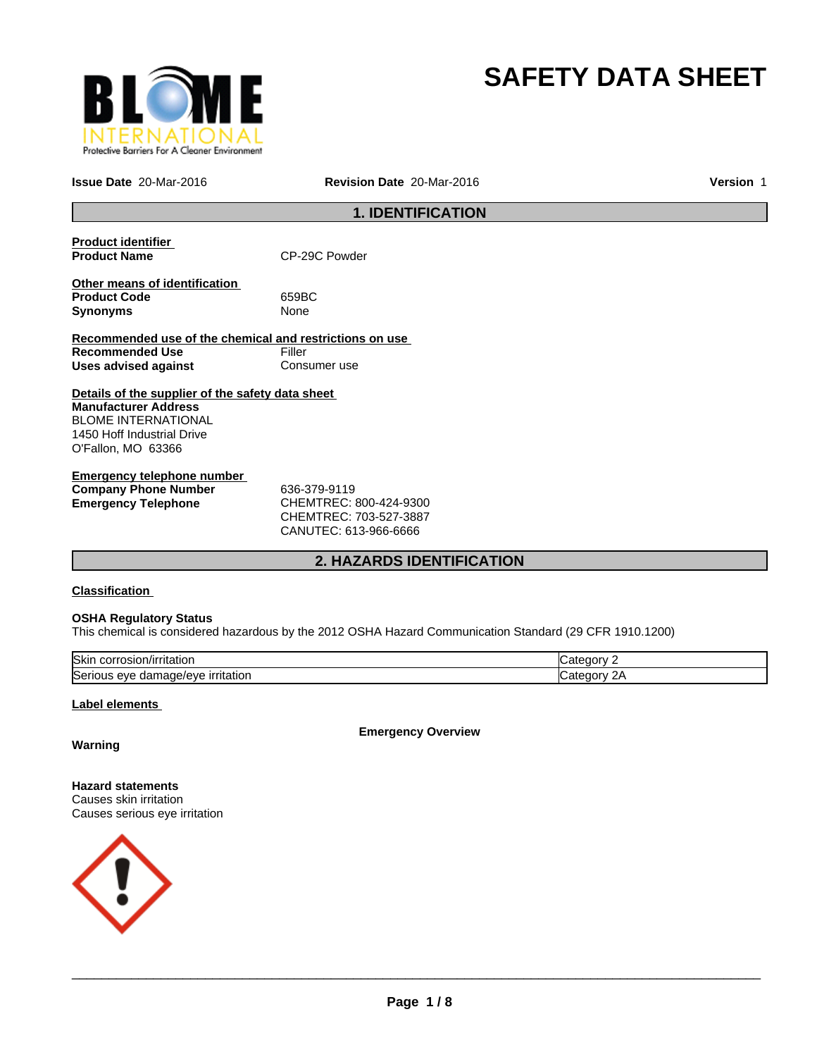

# **SAFETY DATA SHEET**

**Issue Date** 20-Mar-2016 **Revision Date** 20-Mar-2016

**Version** 1

#### **1. IDENTIFICATION**

| <b>Product identifier</b><br><b>Product Name</b>                                                                                                           | CP-29C Powder |  |
|------------------------------------------------------------------------------------------------------------------------------------------------------------|---------------|--|
| Other means of identification<br><b>Product Code</b><br>Synonyms                                                                                           | 659BC<br>None |  |
| Recommended use of the chemical and restrictions on use                                                                                                    |               |  |
| <b>Recommended Use</b>                                                                                                                                     | Filler        |  |
| Uses advised against                                                                                                                                       | Consumer use  |  |
| Details of the supplier of the safety data sheet<br><b>Manufacturer Address</b><br>BLOME INTERNATIONAL<br>1450 Hoff Industrial Drive<br>O'Fallon, MO 63366 |               |  |
| Emergency telephone number                                                                                                                                 |               |  |
| <b>Company Phone Number</b>                                                                                                                                | 636-379-9119  |  |

**Emergency Telephone** CHEMTREC: 800-424-9300 CHEMTREC: 703-527-3887 CANUTEC: 613-966-6666

#### **2. HAZARDS IDENTIFICATION**

#### **Classification**

#### **OSHA Regulatory Status**

This chemical is considered hazardous by the 2012 OSHA Hazard Communication Standard (29 CFR 1910.1200)

| lSkir<br>√irritatior<br>.                                                         | זר זר                                   |
|-----------------------------------------------------------------------------------|-----------------------------------------|
| $10001 + 4$<br><sup>-</sup> ritation<br>iae/eve<br>Serious<br>. eve<br>aamaq<br>ີ | חרזר<br>$\overline{\phantom{a}}$<br>. . |

#### **Label elements**

**Emergency Overview**

#### **Warning**

**Hazard statements** Causes skin irritation Causes serious eye irritation

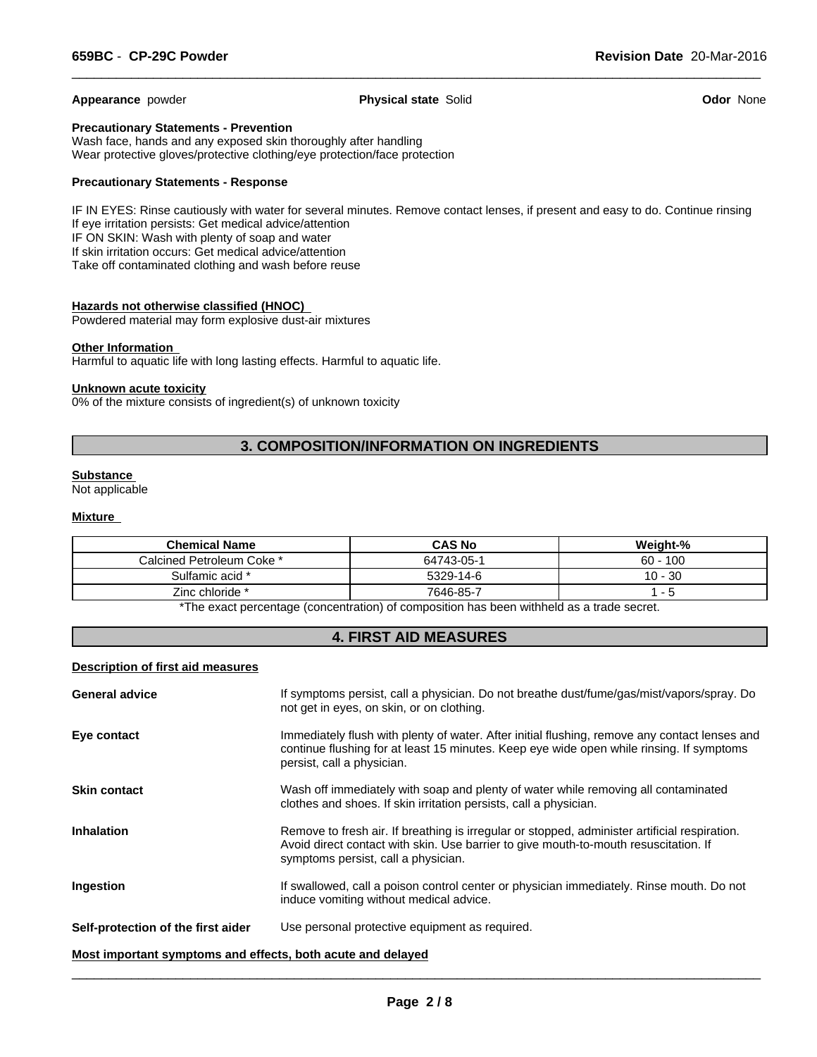**Appearance** powder **Physical state** Solid **Odor** None

 $\overline{\phantom{a}}$  ,  $\overline{\phantom{a}}$  ,  $\overline{\phantom{a}}$  ,  $\overline{\phantom{a}}$  ,  $\overline{\phantom{a}}$  ,  $\overline{\phantom{a}}$  ,  $\overline{\phantom{a}}$  ,  $\overline{\phantom{a}}$  ,  $\overline{\phantom{a}}$  ,  $\overline{\phantom{a}}$  ,  $\overline{\phantom{a}}$  ,  $\overline{\phantom{a}}$  ,  $\overline{\phantom{a}}$  ,  $\overline{\phantom{a}}$  ,  $\overline{\phantom{a}}$  ,  $\overline{\phantom{a}}$ 

#### **Precautionary Statements - Prevention**

Wash face, hands and any exposed skin thoroughly after handling Wear protective gloves/protective clothing/eye protection/face protection

#### **Precautionary Statements - Response**

IF IN EYES: Rinse cautiously with water for several minutes. Remove contact lenses, if present and easy to do. Continue rinsing If eye irritation persists: Get medical advice/attention IF ON SKIN: Wash with plenty of soap and water If skin irritation occurs: Get medical advice/attention Take off contaminated clothing and wash before reuse

#### **Hazards not otherwise classified (HNOC)**

Powdered material may form explosive dust-air mixtures

#### **Other Information**

Harmful to aquatic life with long lasting effects. Harmful to aquatic life.

#### **Unknown acute toxicity**

0% of the mixture consists of ingredient(s) of unknown toxicity

#### **3. COMPOSITION/INFORMATION ON INGREDIENTS**

#### **Substance**

Not applicable

#### **Mixture**

| <b>Chemical Name</b>      | <b>CAS No</b> | Weight-%   |
|---------------------------|---------------|------------|
| Calcined Petroleum Coke * | 64743-05-1    | $60 - 100$ |
| Sulfamic acid *           | 5329-14-6     | $10 - 30$  |
| Zinc chloride *           | 7646-85-7     | . - ಒ      |

\*The exact percentage (concentration) of composition has been withheld as a trade secret.

#### **4. FIRST AID MEASURES**

#### **Description of first aid measures**

| <b>General advice</b>              | If symptoms persist, call a physician. Do not breathe dust/fume/gas/mist/vapors/spray. Do<br>not get in eyes, on skin, or on clothing.                                                                                       |
|------------------------------------|------------------------------------------------------------------------------------------------------------------------------------------------------------------------------------------------------------------------------|
| Eye contact                        | Immediately flush with plenty of water. After initial flushing, remove any contact lenses and<br>continue flushing for at least 15 minutes. Keep eye wide open while rinsing. If symptoms<br>persist, call a physician.      |
| <b>Skin contact</b>                | Wash off immediately with soap and plenty of water while removing all contaminated<br>clothes and shoes. If skin irritation persists, call a physician.                                                                      |
| <b>Inhalation</b>                  | Remove to fresh air. If breathing is irregular or stopped, administer artificial respiration.<br>Avoid direct contact with skin. Use barrier to give mouth-to-mouth resuscitation. If<br>symptoms persist, call a physician. |
| Ingestion                          | If swallowed, call a poison control center or physician immediately. Rinse mouth. Do not<br>induce vomiting without medical advice.                                                                                          |
| Self-protection of the first aider | Use personal protective equipment as required.                                                                                                                                                                               |
|                                    |                                                                                                                                                                                                                              |

### **Most important symptoms and effects, both acute and delayed**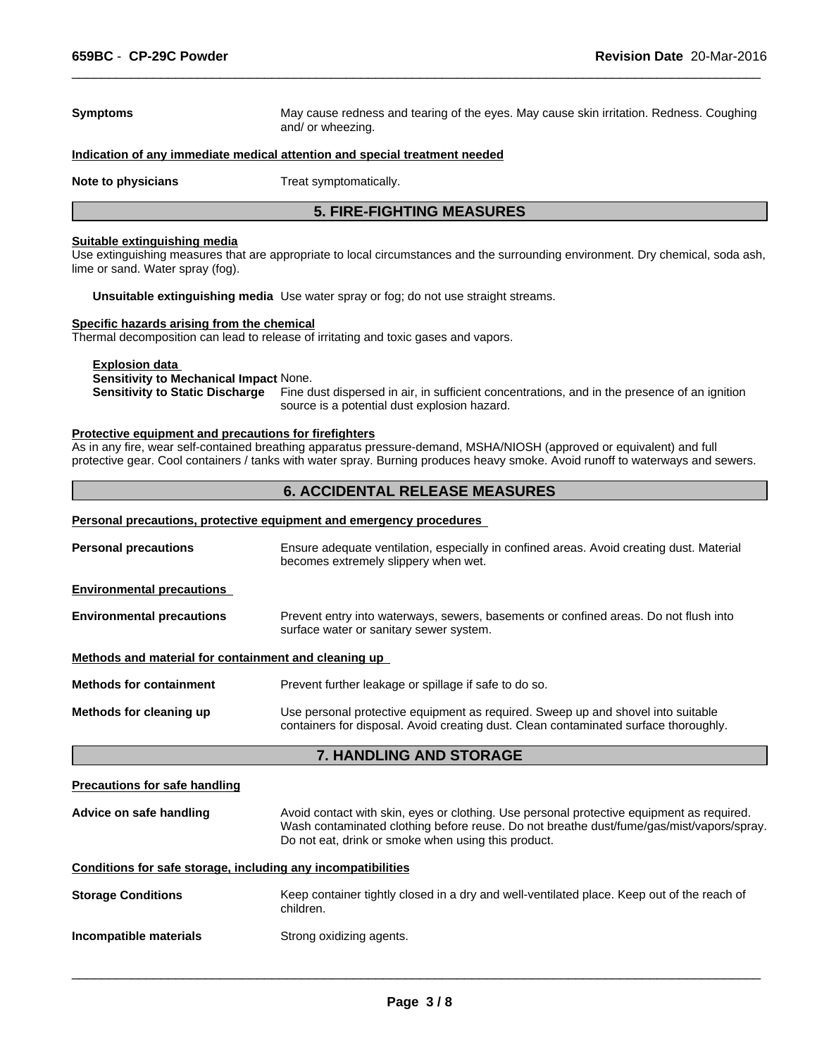## **Symptoms** May cause redness and tearing of the eyes. May cause skin irritation. Redness. Coughing and/ or wheezing. **Indication of any immediate medical attention and special treatment needed Note to physicians** Treat symptomatically. **5. FIRE-FIGHTING MEASURES**

 $\overline{\phantom{a}}$  ,  $\overline{\phantom{a}}$  ,  $\overline{\phantom{a}}$  ,  $\overline{\phantom{a}}$  ,  $\overline{\phantom{a}}$  ,  $\overline{\phantom{a}}$  ,  $\overline{\phantom{a}}$  ,  $\overline{\phantom{a}}$  ,  $\overline{\phantom{a}}$  ,  $\overline{\phantom{a}}$  ,  $\overline{\phantom{a}}$  ,  $\overline{\phantom{a}}$  ,  $\overline{\phantom{a}}$  ,  $\overline{\phantom{a}}$  ,  $\overline{\phantom{a}}$  ,  $\overline{\phantom{a}}$ 

#### **Suitable extinguishing media**

Use extinguishing measures that are appropriate to local circumstances and the surrounding environment. Dry chemical, soda ash, lime or sand. Water spray (fog).

**Unsuitable extinguishing media** Use water spray or fog; do not use straight streams.

#### **Specific hazards arising from the chemical**

Thermal decomposition can lead to release of irritating and toxic gases and vapors.

**Explosion data** 

#### **Sensitivity to Mechanical Impact** None.

**Sensitivity to Static Discharge** Fine dust dispersed in air, in sufficient concentrations, and in the presence of an ignition source is a potential dust explosion hazard.

#### **Protective equipment and precautions for firefighters**

As in any fire, wear self-contained breathing apparatus pressure-demand, MSHA/NIOSH (approved or equivalent) and full protective gear. Cool containers / tanks with water spray. Burning produces heavy smoke. Avoid runoff to waterways and sewers.

#### **6. ACCIDENTAL RELEASE MEASURES**

### **Personal precautions, protective equipment and emergency procedures Personal precautions** Ensure adequate ventilation, especially in confined areas. Avoid creating dust. Material becomes extremely slippery when wet. **Environmental precautions Environmental precautions** Prevent entry into waterways, sewers, basements or confined areas. Do not flush into surface water or sanitary sewer system. **Methods and material for containment and cleaning up Methods for containment** Prevent further leakage or spillage if safe to do so. **Methods for cleaning up** Use personal protective equipment as required. Sweep up and shovel into suitable containers for disposal. Avoid creating dust. Clean contaminated surface thoroughly.

#### **7. HANDLING AND STORAGE**

#### **Precautions for safe handling**

| Advice on safe handling | Avoid contact with skin, eyes or clothing. Use personal protective equipment as required. |
|-------------------------|-------------------------------------------------------------------------------------------|
|                         | Wash contaminated clothing before reuse. Do not breathe dust/fume/gas/mist/vapors/spray.  |
|                         | Do not eat, drink or smoke when using this product.                                       |

#### **Conditions for safe storage, including any incompatibilities**

**Storage Conditions** Keep container tightly closed in a dry and well-ventilated place. Keep out of the reach of children.

**Incompatible materials** Strong oxidizing agents.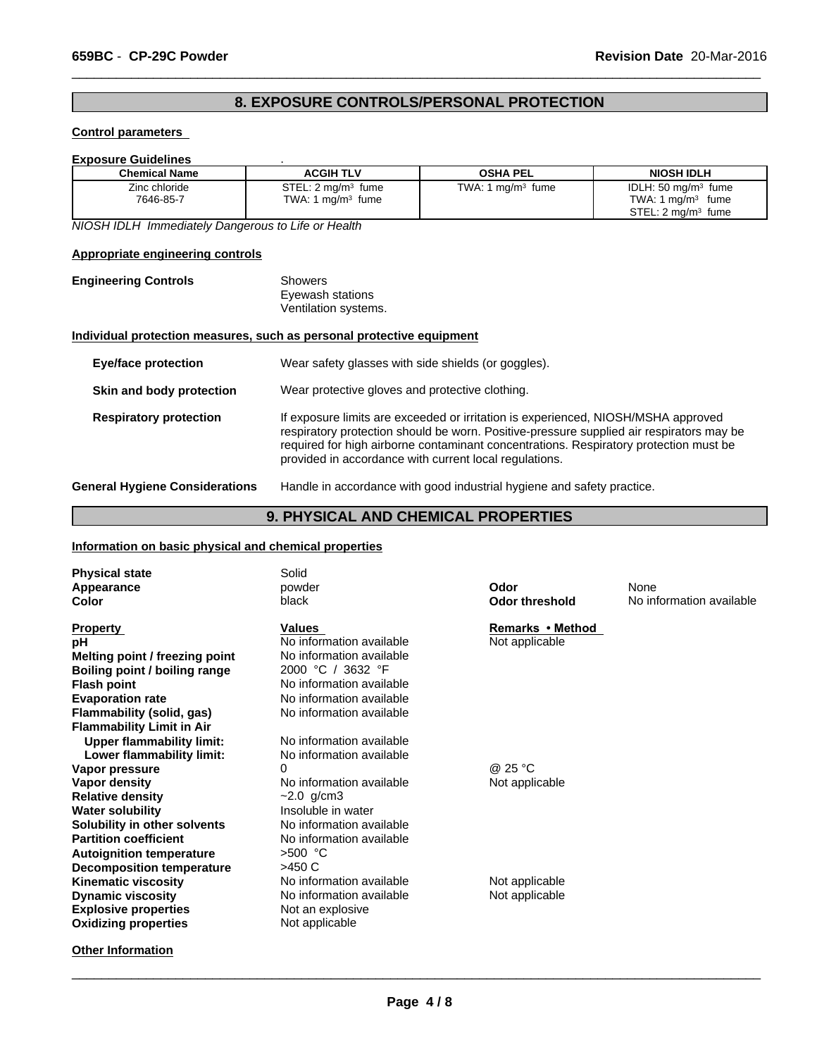#### **8. EXPOSURE CONTROLS/PERSONAL PROTECTION**

 $\overline{\phantom{a}}$  ,  $\overline{\phantom{a}}$  ,  $\overline{\phantom{a}}$  ,  $\overline{\phantom{a}}$  ,  $\overline{\phantom{a}}$  ,  $\overline{\phantom{a}}$  ,  $\overline{\phantom{a}}$  ,  $\overline{\phantom{a}}$  ,  $\overline{\phantom{a}}$  ,  $\overline{\phantom{a}}$  ,  $\overline{\phantom{a}}$  ,  $\overline{\phantom{a}}$  ,  $\overline{\phantom{a}}$  ,  $\overline{\phantom{a}}$  ,  $\overline{\phantom{a}}$  ,  $\overline{\phantom{a}}$ 

#### **Control parameters**

#### **Exposure Guidelines** .

| <b>Chemical Name</b> | <b>ACGIH TLV</b>               | <b>OSHA PEL</b>     | <b>NIOSH IDLH</b>              |
|----------------------|--------------------------------|---------------------|--------------------------------|
| Zinc chloride        | STEL: 2 mg/m <sup>3</sup> fume | TWA: 1 $mg/m3$ fume | IDLH: $50 \text{ ma/m}^3$ fume |
| 7646-85-7            | TWA: 1 $mq/m3$ fume            |                     | TWA: 1 $mq/m3$<br>fume         |
|                      |                                |                     | STEL: $2 \text{ mg/m}^3$ fume  |

*NIOSH IDLH Immediately Dangerous to Life or Health*

#### **Appropriate engineering controls**

| <b>Engineering Controls</b> | Showers              |  |
|-----------------------------|----------------------|--|
|                             | Eyewash stations     |  |
|                             | Ventilation systems. |  |

#### **Individual protection measures, such as personal protective equipment**

| <b>Eye/face protection</b>            | Wear safety glasses with side shields (or goggles).                                                                                                                                                                                                                                                                              |  |
|---------------------------------------|----------------------------------------------------------------------------------------------------------------------------------------------------------------------------------------------------------------------------------------------------------------------------------------------------------------------------------|--|
| Skin and body protection              | Wear protective gloves and protective clothing.                                                                                                                                                                                                                                                                                  |  |
| <b>Respiratory protection</b>         | If exposure limits are exceeded or irritation is experienced, NIOSH/MSHA approved<br>respiratory protection should be worn. Positive-pressure supplied air respirators may be<br>required for high airborne contaminant concentrations. Respiratory protection must be<br>provided in accordance with current local regulations. |  |
| <b>General Hygiene Considerations</b> | Handle in accordance with good industrial hygiene and safety practice.                                                                                                                                                                                                                                                           |  |

#### **9. PHYSICAL AND CHEMICAL PROPERTIES**

#### **Information on basic physical and chemical properties**

| <b>Physical state</b><br>Appearance<br>Color | Solid<br>powder<br>black | Odor<br><b>Odor threshold</b> | None<br>No information available |
|----------------------------------------------|--------------------------|-------------------------------|----------------------------------|
| <b>Property</b>                              | <b>Values</b>            | Remarks • Method              |                                  |
| рH                                           | No information available | Not applicable                |                                  |
| Melting point / freezing point               | No information available |                               |                                  |
| Boiling point / boiling range                | 2000 °C / 3632 °F        |                               |                                  |
| <b>Flash point</b>                           | No information available |                               |                                  |
| <b>Evaporation rate</b>                      | No information available |                               |                                  |
| <b>Flammability (solid, gas)</b>             | No information available |                               |                                  |
| <b>Flammability Limit in Air</b>             |                          |                               |                                  |
| <b>Upper flammability limit:</b>             | No information available |                               |                                  |
| Lower flammability limit:                    | No information available |                               |                                  |
| Vapor pressure                               |                          | @ 25 °C                       |                                  |
| Vapor density                                | No information available | Not applicable                |                                  |
| <b>Relative density</b>                      | $~2.0$ g/cm3             |                               |                                  |
| <b>Water solubility</b>                      | Insoluble in water       |                               |                                  |
| Solubility in other solvents                 | No information available |                               |                                  |
| <b>Partition coefficient</b>                 | No information available |                               |                                  |
| <b>Autoignition temperature</b>              | $>500$ °C                |                               |                                  |
| Decomposition temperature                    | $>450$ C                 |                               |                                  |
| <b>Kinematic viscosity</b>                   | No information available | Not applicable                |                                  |
| <b>Dynamic viscosity</b>                     | No information available | Not applicable                |                                  |
| <b>Explosive properties</b>                  | Not an explosive         |                               |                                  |
| <b>Oxidizing properties</b>                  | Not applicable           |                               |                                  |
| <b>Other Information</b>                     |                          |                               |                                  |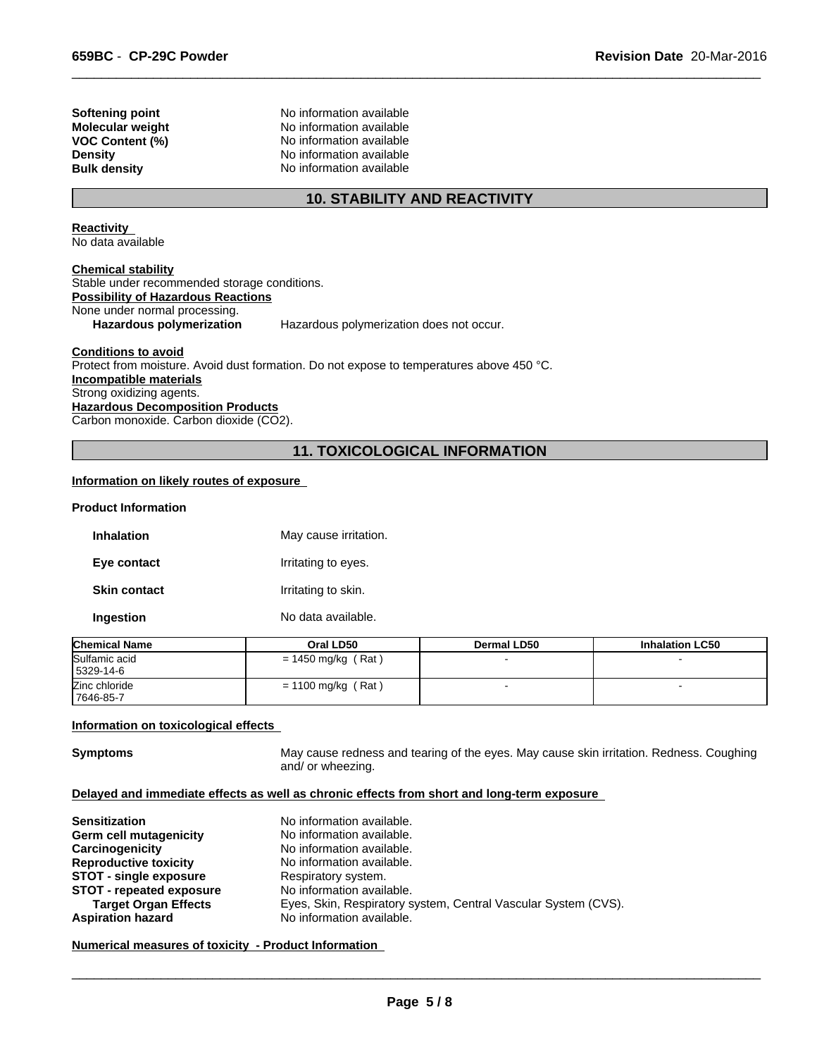**Softening point** No information available **Molecular weight** No information available **VOC Content (%)** No information available **Density** No information available **Bulk density** No information available

#### **10. STABILITY AND REACTIVITY**

 $\overline{\phantom{a}}$  ,  $\overline{\phantom{a}}$  ,  $\overline{\phantom{a}}$  ,  $\overline{\phantom{a}}$  ,  $\overline{\phantom{a}}$  ,  $\overline{\phantom{a}}$  ,  $\overline{\phantom{a}}$  ,  $\overline{\phantom{a}}$  ,  $\overline{\phantom{a}}$  ,  $\overline{\phantom{a}}$  ,  $\overline{\phantom{a}}$  ,  $\overline{\phantom{a}}$  ,  $\overline{\phantom{a}}$  ,  $\overline{\phantom{a}}$  ,  $\overline{\phantom{a}}$  ,  $\overline{\phantom{a}}$ 

**Reactivity**  No data available

**Chemical stability** Stable under recommended storage conditions. **Possibility of Hazardous Reactions** None under normal processing. Hazardous polymerization Hazardous polymerization does not occur.

**Conditions to avoid**

Protect from moisture. Avoid dust formation. Do not expose to temperatures above 450 °C. **Incompatible materials** Strong oxidizing agents. **Hazardous Decomposition Products** Carbon monoxide. Carbon dioxide (CO2).

#### **11. TOXICOLOGICAL INFORMATION**

#### **Information on likely routes of exposure**

#### **Product Information**

| <b>Inhalation</b>   | May cause irritation. |
|---------------------|-----------------------|
| Eye contact         | Irritating to eyes.   |
| <b>Skin contact</b> | Irritating to skin.   |
| Ingestion           | No data available.    |

| <b>Chemical Name</b>       | Oral LD50            | Dermal LD50 | <b>Inhalation LC50</b> |
|----------------------------|----------------------|-------------|------------------------|
| Sulfamic acid<br>5329-14-6 | $= 1450$ mg/kg (Rat) |             |                        |
| Zinc chloride<br>7646-85-7 | $= 1100$ mg/kg (Rat) |             |                        |

#### **Information on toxicological effects**

**Symptoms** May cause redness and tearing of the eyes. May cause skin irritation. Redness. Coughing and/ or wheezing.

#### **Delayed and immediate effects as well as chronic effects from short and long-term exposure**

| <b>Sensitization</b>            | No information available.                                      |
|---------------------------------|----------------------------------------------------------------|
| <b>Germ cell mutagenicity</b>   | No information available.                                      |
| Carcinogenicity                 | No information available.                                      |
| <b>Reproductive toxicity</b>    | No information available.                                      |
| <b>STOT - single exposure</b>   | Respiratory system.                                            |
| <b>STOT - repeated exposure</b> | No information available.                                      |
| <b>Target Organ Effects</b>     | Eyes, Skin, Respiratory system, Central Vascular System (CVS). |
| <b>Aspiration hazard</b>        | No information available.                                      |

**Numerical measures of toxicity - Product Information**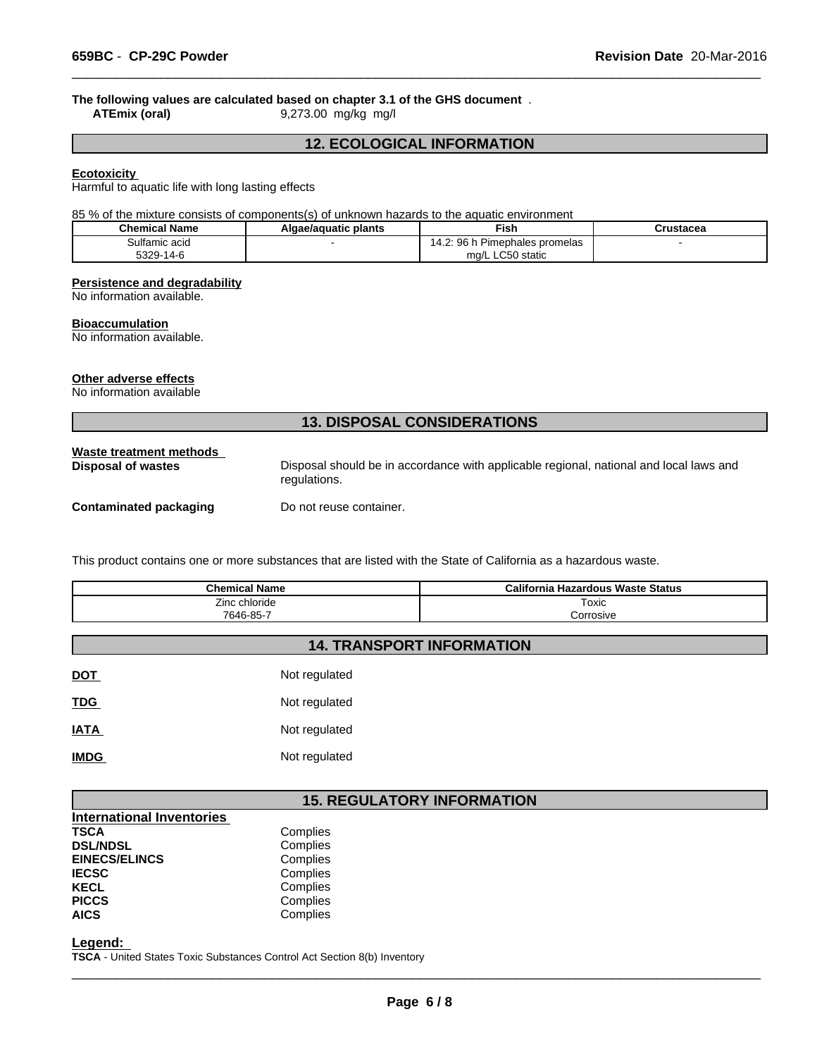# **The following values are calculated based on chapter 3.1 of the GHS document**.<br>ATEmix (oral) 9,273.00 mg/kg mg/l

**ATEmix (oral)** 9,273.00 mg/kg mg/l

#### **12. ECOLOGICAL INFORMATION**

 $\overline{\phantom{a}}$  ,  $\overline{\phantom{a}}$  ,  $\overline{\phantom{a}}$  ,  $\overline{\phantom{a}}$  ,  $\overline{\phantom{a}}$  ,  $\overline{\phantom{a}}$  ,  $\overline{\phantom{a}}$  ,  $\overline{\phantom{a}}$  ,  $\overline{\phantom{a}}$  ,  $\overline{\phantom{a}}$  ,  $\overline{\phantom{a}}$  ,  $\overline{\phantom{a}}$  ,  $\overline{\phantom{a}}$  ,  $\overline{\phantom{a}}$  ,  $\overline{\phantom{a}}$  ,  $\overline{\phantom{a}}$ 

#### **Ecotoxicity**

Harmful to aquatic life with long lasting effects

85 % of the mixture consists of components(s) of unknown hazards to the aquatic environment

| <b>Chemical Name</b> | Algae/aguatic plants | <b>Fish</b>                                   | Crustacea |
|----------------------|----------------------|-----------------------------------------------|-----------|
| Sulfamic acid        |                      | 96<br>Pimephales promelas<br>ıд               |           |
| 5329-1<br>$14 - F$   |                      | $\sim$ $\sim$ $\sim$<br>) static<br>ma/L<br>. |           |

#### **Persistence and degradability**

No information available.

#### **Bioaccumulation**

No information available.

#### **Other adverse effects**

No information available

### **13. DISPOSAL CONSIDERATIONS**

| regulations.<br><b>Contaminated packaging</b><br>Do not reuse container. | Waste treatment methods<br><b>Disposal of wastes</b> | Disposal should be in accordance with applicable regional, national and local laws and |
|--------------------------------------------------------------------------|------------------------------------------------------|----------------------------------------------------------------------------------------|
|                                                                          |                                                      |                                                                                        |

This product contains one or more substances that are listed with the State of California as a hazardous waste.

| <b>Chemical Name</b> | California Hazardous Waste Status |
|----------------------|-----------------------------------|
| Zinc chloride        | Toxic                             |
| 7646-85-7            | orrosive:                         |

#### **14. TRANSPORT INFORMATION**

| <b>DOT</b>  | Not regulated |
|-------------|---------------|
| <b>TDG</b>  | Not regulated |
| <u>IATA</u> | Not regulated |
| <b>IMDG</b> | Not regulated |

#### **15. REGULATORY INFORMATION**

| Complies                         |  |
|----------------------------------|--|
| Complies                         |  |
| Complies                         |  |
| Complies                         |  |
| Complies                         |  |
| Complies                         |  |
| Complies                         |  |
| <b>International Inventories</b> |  |

**Legend:** 

**TSCA** - United States Toxic Substances Control Act Section 8(b) Inventory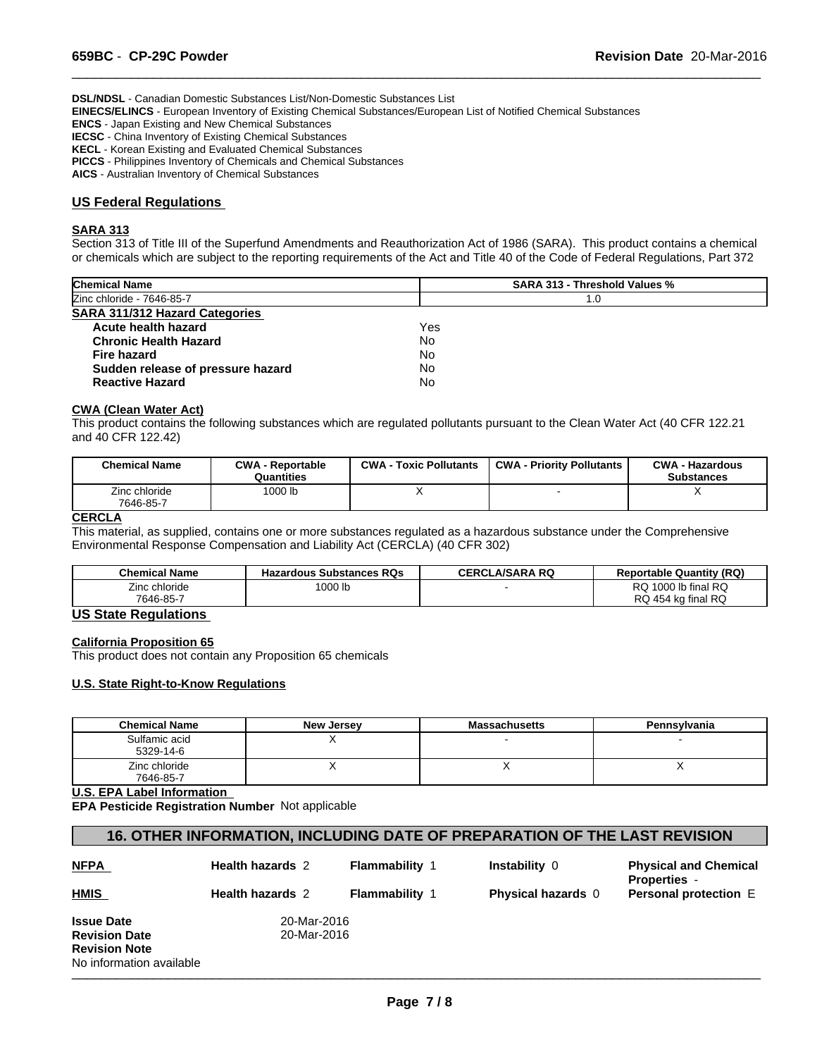**DSL/NDSL** - Canadian Domestic Substances List/Non-Domestic Substances List

**EINECS/ELINCS** - European Inventory of Existing Chemical Substances/European List of Notified Chemical Substances

**ENCS** - Japan Existing and New Chemical Substances

**IECSC** - China Inventory of Existing Chemical Substances

**KECL** - Korean Existing and Evaluated Chemical Substances

**PICCS** - Philippines Inventory of Chemicals and Chemical Substances

**AICS** - Australian Inventory of Chemical Substances

#### **US Federal Regulations**

#### **SARA 313**

Section 313 of Title III of the Superfund Amendments and Reauthorization Act of 1986 (SARA). This product contains a chemical or chemicals which are subject to the reporting requirements of the Act and Title 40 of the Code of Federal Regulations, Part 372

 $\overline{\phantom{a}}$  ,  $\overline{\phantom{a}}$  ,  $\overline{\phantom{a}}$  ,  $\overline{\phantom{a}}$  ,  $\overline{\phantom{a}}$  ,  $\overline{\phantom{a}}$  ,  $\overline{\phantom{a}}$  ,  $\overline{\phantom{a}}$  ,  $\overline{\phantom{a}}$  ,  $\overline{\phantom{a}}$  ,  $\overline{\phantom{a}}$  ,  $\overline{\phantom{a}}$  ,  $\overline{\phantom{a}}$  ,  $\overline{\phantom{a}}$  ,  $\overline{\phantom{a}}$  ,  $\overline{\phantom{a}}$ 

| <b>SARA 313 - Threshold Values %</b> |
|--------------------------------------|
| 1.0                                  |
|                                      |
| Yes                                  |
| No.                                  |
| No.                                  |
| No                                   |
| No                                   |
|                                      |

#### **CWA (Clean Water Act)**

This product contains the following substances which are regulated pollutants pursuant to the Clean Water Act (40 CFR 122.21 and 40 CFR 122.42)

| <b>Chemical Name</b>       | <b>CWA - Reportable</b><br>Quantities | <b>CWA - Toxic Pollutants</b> | <b>CWA - Priority Pollutants</b> | <b>CWA - Hazardous</b><br><b>Substances</b> |
|----------------------------|---------------------------------------|-------------------------------|----------------------------------|---------------------------------------------|
| Zinc chloride<br>7646-85-7 | 1000 lb                               |                               |                                  |                                             |

#### **CERCLA**

This material, as supplied, contains one or more substances regulated as a hazardous substance under the Comprehensive Environmental Response Compensation and Liability Act (CERCLA) (40 CFR 302)

| <b>Chemical Name</b> | <b>Hazardous Substances RQs</b> | <b>CERCLA/SARA RQ</b> | <b>Reportable Quantity (RQ)</b> |
|----------------------|---------------------------------|-----------------------|---------------------------------|
| Zinc chloride        | 1000 lb                         |                       | 1000 lb final RQ<br>^פ<br>שע    |
| 7646-85-7            |                                 |                       | RQ 454 kg final RQ              |

#### **US State Regulations**

#### **California Proposition 65**

This product does not contain any Proposition 65 chemicals

#### **U.S. State Right-to-Know Regulations**

| <b>Chemical Name</b>       | <b>New Jersey</b> | <b>Massachusetts</b> | Pennsylvania |
|----------------------------|-------------------|----------------------|--------------|
| Sulfamic acid<br>5329-14-6 |                   |                      |              |
| Zinc chloride<br>7646-85-7 |                   |                      |              |

**U.S. EPA Label Information** 

**EPA Pesticide Registration Number** Not applicable

#### **16. OTHER INFORMATION, INCLUDING DATE OF PREPARATION OF THE LAST REVISION**

| <b>NFPA</b>                                      | <b>Health hazards 2</b>    | <b>Flammability 1</b> | Instability 0             | <b>Physical and Chemical</b><br><b>Properties</b> - |
|--------------------------------------------------|----------------------------|-----------------------|---------------------------|-----------------------------------------------------|
| <b>HMIS</b>                                      | <b>Health hazards 2</b>    | <b>Flammability 1</b> | <b>Physical hazards</b> 0 | <b>Personal protection E</b>                        |
| <b>Issue Date</b><br><b>Revision Date</b>        | 20-Mar-2016<br>20-Mar-2016 |                       |                           |                                                     |
| <b>Revision Note</b><br>No information available |                            |                       |                           |                                                     |